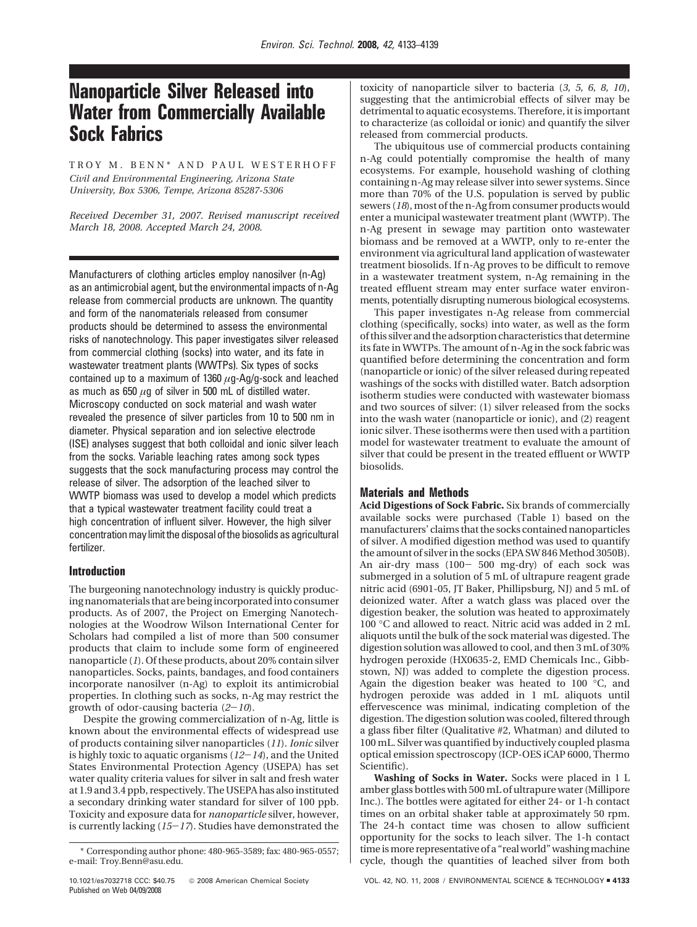# **Nanoparticle Silver Released into Water from Commercially Available Sock Fabrics**

TROY M. BENN\* AND PAUL WESTERHOFF *Civil and Environmental Engineering, Arizona State University, Box 5306, Tempe, Arizona 85287-5306*

*Received December 31, 2007. Revised manuscript received March 18, 2008. Accepted March 24, 2008.*

Manufacturers of clothing articles employ nanosilver (n-Ag) as an antimicrobial agent, but the environmental impacts of n-Ag release from commercial products are unknown. The quantity and form of the nanomaterials released from consumer products should be determined to assess the environmental risks of nanotechnology. This paper investigates silver released from commercial clothing (socks) into water, and its fate in wastewater treatment plants (WWTPs). Six types of socks contained up to a maximum of 1360 *µ*g-Ag/g-sock and leached as much as 650 *µ*g of silver in 500 mL of distilled water. Microscopy conducted on sock material and wash water revealed the presence of silver particles from 10 to 500 nm in diameter. Physical separation and ion selective electrode (ISE) analyses suggest that both colloidal and ionic silver leach from the socks. Variable leaching rates among sock types suggests that the sock manufacturing process may control the release of silver. The adsorption of the leached silver to WWTP biomass was used to develop a model which predicts that a typical wastewater treatment facility could treat a high concentration of influent silver. However, the high silver concentration may limit the disposal of the biosolids as agricultural fertilizer.

# **Introduction**

The burgeoning nanotechnology industry is quickly producing nanomaterials that are being incorporated into consumer products. As of 2007, the Project on Emerging Nanotechnologies at the Woodrow Wilson International Center for Scholars had compiled a list of more than 500 consumer products that claim to include some form of engineered nanoparticle (*1*). Of these products, about 20% contain silver nanoparticles. Socks, paints, bandages, and food containers incorporate nanosilver (n-Ag) to exploit its antimicrobial properties. In clothing such as socks, n-Ag may restrict the growth of odor-causing bacteria (*2*-*10*).

Despite the growing commercialization of n-Ag, little is known about the environmental effects of widespread use of products containing silver nanoparticles (*11*). *Ionic* silver is highly toxic to aquatic organisms (*12*-*14*), and the United States Environmental Protection Agency (USEPA) has set water quality criteria values for silver in salt and fresh water at 1.9 and 3.4 ppb, respectively. The USEPA has also instituted a secondary drinking water standard for silver of 100 ppb. Toxicity and exposure data for *nanoparticle* silver, however, is currently lacking (*15*-*17*). Studies have demonstrated the toxicity of nanoparticle silver to bacteria (*3, 5, 6, 8, 10*), suggesting that the antimicrobial effects of silver may be detrimental to aquatic ecosystems. Therefore, it is important to characterize (as colloidal or ionic) and quantify the silver released from commercial products.

The ubiquitous use of commercial products containing n-Ag could potentially compromise the health of many ecosystems. For example, household washing of clothing containing n-Ag may release silver into sewer systems. Since more than 70% of the U.S. population is served by public sewers (*18*), most of the n-Ag from consumer products would enter a municipal wastewater treatment plant (WWTP). The n-Ag present in sewage may partition onto wastewater biomass and be removed at a WWTP, only to re-enter the environment via agricultural land application of wastewater treatment biosolids. If n-Ag proves to be difficult to remove in a wastewater treatment system, n-Ag remaining in the treated effluent stream may enter surface water environments, potentially disrupting numerous biological ecosystems.

This paper investigates n-Ag release from commercial clothing (specifically, socks) into water, as well as the form of this silver and the adsorption characteristics that determine its fate in WWTPs. The amount of n-Ag in the sock fabric was quantified before determining the concentration and form (nanoparticle or ionic) of the silver released during repeated washings of the socks with distilled water. Batch adsorption isotherm studies were conducted with wastewater biomass and two sources of silver: (1) silver released from the socks into the wash water (nanoparticle or ionic), and (2) reagent ionic silver. These isotherms were then used with a partition model for wastewater treatment to evaluate the amount of silver that could be present in the treated effluent or WWTP biosolids.

# **Materials and Methods**

**Acid Digestions of Sock Fabric.** Six brands of commercially available socks were purchased (Table 1) based on the manufacturers' claims that the socks contained nanoparticles of silver. A modified digestion method was used to quantify the amount of silver in the socks (EPA SW 846 Method 3050B). An air-dry mass (100- 500 mg-dry) of each sock was submerged in a solution of 5 mL of ultrapure reagent grade nitric acid (6901-05, JT Baker, Phillipsburg, NJ) and 5 mL of deionized water. After a watch glass was placed over the digestion beaker, the solution was heated to approximately 100 °C and allowed to react. Nitric acid was added in 2 mL aliquots until the bulk of the sock material was digested. The digestion solution was allowed to cool, and then 3 mL of 30% hydrogen peroxide (HX0635-2, EMD Chemicals Inc., Gibbstown, NJ) was added to complete the digestion process. Again the digestion beaker was heated to 100 °C, and hydrogen peroxide was added in 1 mL aliquots until effervescence was minimal, indicating completion of the digestion. The digestion solution was cooled, filtered through a glass fiber filter (Qualitative #2, Whatman) and diluted to 100 mL. Silver was quantified by inductively coupled plasma optical emission spectroscopy (ICP-OES iCAP 6000, Thermo Scientific).

**Washing of Socks in Water.** Socks were placed in 1 L amber glass bottles with 500 mL of ultrapure water (Millipore Inc.). The bottles were agitated for either 24- or 1-h contact times on an orbital shaker table at approximately 50 rpm. The 24-h contact time was chosen to allow sufficient opportunity for the socks to leach silver. The 1-h contact time is more representative of a "real world" washing machine cycle, though the quantities of leached silver from both

<sup>\*</sup> Corresponding author phone: 480-965-3589; fax: 480-965-0557; e-mail: Troy.Benn@asu.edu.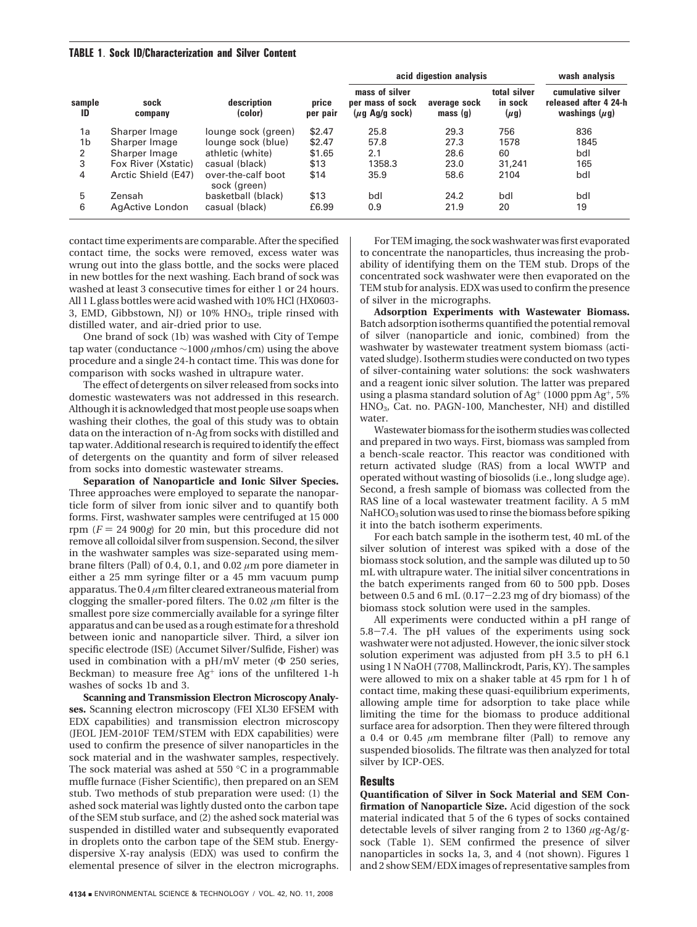## **TABLE 1**. **Sock ID/Characterization and Silver Content**

|                |                     |                                    |                   | acid digestion analysis                                           | wash analysis           |                                      |                                                                  |
|----------------|---------------------|------------------------------------|-------------------|-------------------------------------------------------------------|-------------------------|--------------------------------------|------------------------------------------------------------------|
| sample<br>ID   | sock<br>company     | description<br>(color)             | price<br>per pair | mass of silver<br>per mass of sock<br>$(\mu q \text{ Ag/g sock})$ | average sock<br>mass(q) | total silver<br>in sock<br>$(\mu g)$ | cumulative silver<br>released after 4 24-h<br>washings $(\mu g)$ |
| 1a             | Sharper Image       | lounge sock (green)                | \$2.47            | 25.8                                                              | 29.3                    | 756                                  | 836                                                              |
| 1 <sub>b</sub> | Sharper Image       | lounge sock (blue)                 | \$2.47            | 57.8                                                              | 27.3                    | 1578                                 | 1845                                                             |
| 2              | Sharper Image       | athletic (white)                   | \$1.65            | 2.1                                                               | 28.6                    | 60                                   | bdl                                                              |
| 3              | Fox River (Xstatic) | casual (black)                     | \$13              | 1358.3                                                            | 23.0                    | 31,241                               | 165                                                              |
| 4              | Arctic Shield (E47) | over-the-calf boot<br>sock (green) | \$14              | 35.9                                                              | 58.6                    | 2104                                 | bdl                                                              |
| 5              | Zensah              | basketball (black)                 | \$13              | bdl                                                               | 24.2                    | bdl                                  | bdl                                                              |
| 6              | AgActive London     | casual (black)                     | £6.99             | 0.9                                                               | 21.9                    | 20                                   | 19                                                               |

contact time experiments are comparable. After the specified contact time, the socks were removed, excess water was wrung out into the glass bottle, and the socks were placed in new bottles for the next washing. Each brand of sock was washed at least 3 consecutive times for either 1 or 24 hours. All 1 L glass bottles were acid washed with 10% HCl (HX0603- 3, EMD, Gibbstown, NJ) or 10% HNO3, triple rinsed with distilled water, and air-dried prior to use.

One brand of sock (1b) was washed with City of Tempe tap water (conductance ∼1000 *µ*mhos/cm) using the above procedure and a single 24-h contact time. This was done for comparison with socks washed in ultrapure water.

The effect of detergents on silver released from socks into domestic wastewaters was not addressed in this research. Although it is acknowledged that most people use soaps when washing their clothes, the goal of this study was to obtain data on the interaction of n-Ag from socks with distilled and tap water. Additional research is required to identify the effect of detergents on the quantity and form of silver released from socks into domestic wastewater streams.

**Separation of Nanoparticle and Ionic Silver Species.** Three approaches were employed to separate the nanoparticle form of silver from ionic silver and to quantify both forms. First, washwater samples were centrifuged at 15 000 rpm  $(F = 24\,900g)$  for 20 min, but this procedure did not remove all colloidal silver from suspension. Second, the silver in the washwater samples was size-separated using membrane filters (Pall) of 0.4, 0.1, and 0.02 *µ*m pore diameter in either a 25 mm syringe filter or a 45 mm vacuum pump apparatus. The 0.4 *µ*m filter cleared extraneous material from clogging the smaller-pored filters. The 0.02 *µ*m filter is the smallest pore size commercially available for a syringe filter apparatus and can be used as a rough estimate for a threshold between ionic and nanoparticle silver. Third, a silver ion specific electrode (ISE) (Accumet Silver/Sulfide, Fisher) was used in combination with a pH/mV meter (Φ 250 series, Beckman) to measure free  $Ag<sup>+</sup>$  ions of the unfiltered 1-h washes of socks 1b and 3.

**Scanning and Transmission Electron Microscopy Analyses.** Scanning electron microscopy (FEI XL30 EFSEM with EDX capabilities) and transmission electron microscopy (JEOL JEM-2010F TEM/STEM with EDX capabilities) were used to confirm the presence of silver nanoparticles in the sock material and in the washwater samples, respectively. The sock material was ashed at 550 °C in a programmable muffle furnace (Fisher Scientific), then prepared on an SEM stub. Two methods of stub preparation were used: (1) the ashed sock material was lightly dusted onto the carbon tape of the SEM stub surface, and (2) the ashed sock material was suspended in distilled water and subsequently evaporated in droplets onto the carbon tape of the SEM stub. Energydispersive X-ray analysis (EDX) was used to confirm the elemental presence of silver in the electron micrographs.

For TEM imaging, the sock washwater was first evaporated to concentrate the nanoparticles, thus increasing the probability of identifying them on the TEM stub. Drops of the concentrated sock washwater were then evaporated on the TEM stub for analysis. EDX was used to confirm the presence of silver in the micrographs.

**Adsorption Experiments with Wastewater Biomass.** Batch adsorption isotherms quantified the potential removal of silver (nanoparticle and ionic, combined) from the washwater by wastewater treatment system biomass (activated sludge). Isotherm studies were conducted on two types of silver-containing water solutions: the sock washwaters and a reagent ionic silver solution. The latter was prepared using a plasma standard solution of Ag<sup>+</sup> (1000 ppm Ag<sup>+</sup>, 5%) HNO3, Cat. no. PAGN-100, Manchester, NH) and distilled water.

Wastewater biomass for theisotherm studies was collected and prepared in two ways. First, biomass was sampled from a bench-scale reactor. This reactor was conditioned with return activated sludge (RAS) from a local WWTP and operated without wasting of biosolids (i.e., long sludge age). Second, a fresh sample of biomass was collected from the RAS line of a local wastewater treatment facility. A 5 mM NaHCO<sub>3</sub> solution was used to rinse the biomass before spiking it into the batch isotherm experiments.

For each batch sample in the isotherm test, 40 mL of the silver solution of interest was spiked with a dose of the biomass stock solution, and the sample was diluted up to 50 mL with ultrapure water. The initial silver concentrations in the batch experiments ranged from 60 to 500 ppb. Doses between 0.5 and 6 mL  $(0.17-2.23 \text{ mg of dry biomass})$  of the biomass stock solution were used in the samples.

All experiments were conducted within a pH range of 5.8-7.4. The pH values of the experiments using sock washwater were not adjusted. However, the ionic silver stock solution experiment was adjusted from pH 3.5 to pH 6.1 using 1 N NaOH (7708, Mallinckrodt, Paris, KY). The samples were allowed to mix on a shaker table at 45 rpm for 1 h of contact time, making these quasi-equilibrium experiments, allowing ample time for adsorption to take place while limiting the time for the biomass to produce additional surface area for adsorption. Then they were filtered through a 0.4 or 0.45  $\mu$ m membrane filter (Pall) to remove any suspended biosolids. The filtrate was then analyzed for total silver by ICP-OES.

## **Results**

**Quantification of Silver in Sock Material and SEM Confirmation of Nanoparticle Size.** Acid digestion of the sock material indicated that 5 of the 6 types of socks contained detectable levels of silver ranging from 2 to 1360 *µ*g-Ag/gsock (Table 1). SEM confirmed the presence of silver nanoparticles in socks 1a, 3, and 4 (not shown). Figures 1 and 2 show SEM/EDX images of representative samples from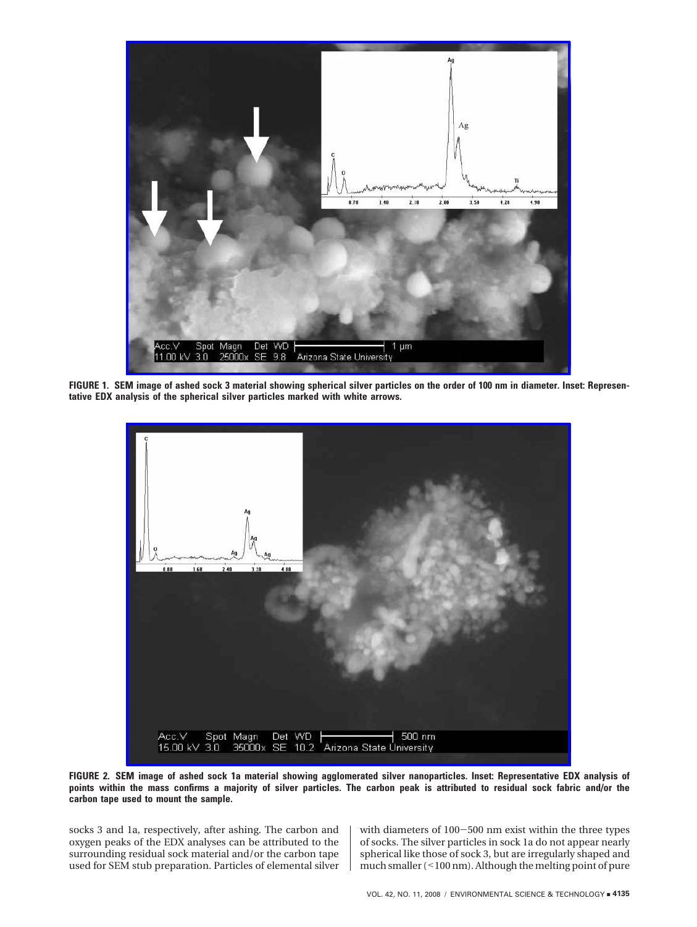

**FIGURE 1. SEM image of ashed sock 3 material showing spherical silver particles on the order of 100 nm in diameter. Inset: Representative EDX analysis of the spherical silver particles marked with white arrows.**



**FIGURE 2. SEM image of ashed sock 1a material showing agglomerated silver nanoparticles. Inset: Representative EDX analysis of points within the mass confirms a majority of silver particles. The carbon peak is attributed to residual sock fabric and/or the carbon tape used to mount the sample.**

socks 3 and 1a, respectively, after ashing. The carbon and oxygen peaks of the EDX analyses can be attributed to the surrounding residual sock material and/or the carbon tape used for SEM stub preparation. Particles of elemental silver

with diameters of 100-500 nm exist within the three types of socks. The silver particles in sock 1a do not appear nearly spherical like those of sock 3, but are irregularly shaped and much smaller (<100 nm). Although the melting point of pure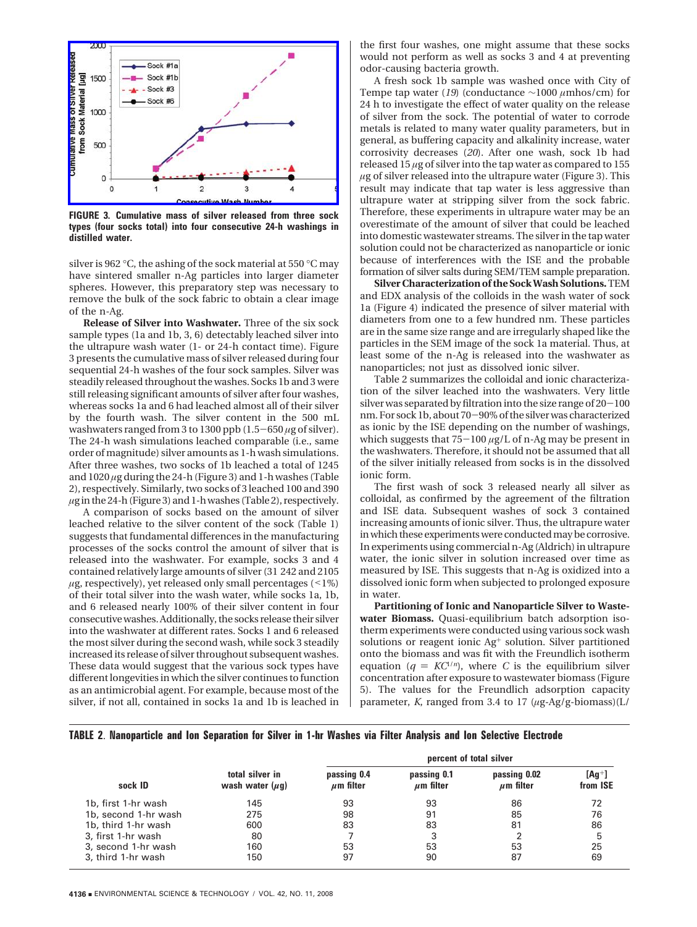

**FIGURE 3. Cumulative mass of silver released from three sock types (four socks total) into four consecutive 24-h washings in distilled water.**

silver is 962 °C, the ashing of the sock material at 550 °C may have sintered smaller n-Ag particles into larger diameter spheres. However, this preparatory step was necessary to remove the bulk of the sock fabric to obtain a clear image of the n-Ag.

**Release of Silver into Washwater.** Three of the six sock sample types (1a and 1b, 3, 6) detectably leached silver into the ultrapure wash water (1- or 24-h contact time). Figure 3 presents the cumulative mass of silver released during four sequential 24-h washes of the four sock samples. Silver was steadily released throughout the washes. Socks 1b and 3 were still releasing significant amounts of silver after four washes, whereas socks 1a and 6 had leached almost all of their silver by the fourth wash. The silver content in the 500 mL washwaters ranged from 3 to 1300 ppb (1.5-<sup>650</sup> *<sup>µ</sup>*g of silver). The 24-h wash simulations leached comparable (i.e., same order of magnitude) silver amounts as 1-h wash simulations. After three washes, two socks of 1b leached a total of 1245 and 1020 *µ*g during the 24-h (Figure 3) and 1-h washes (Table 2), respectively. Similarly, two socks of 3 leached 100 and 390 *µ*gin the 24-h (Figure 3) and 1-h washes (Table 2), respectively.

A comparison of socks based on the amount of silver leached relative to the silver content of the sock (Table 1) suggests that fundamental differences in the manufacturing processes of the socks control the amount of silver that is released into the washwater. For example, socks 3 and 4 contained relatively large amounts of silver (31 242 and 2105  $\mu$ g, respectively), yet released only small percentages (<1%) of their total silver into the wash water, while socks 1a, 1b, and 6 released nearly 100% of their silver content in four consecutive washes. Additionally, the socks release their silver into the washwater at different rates. Socks 1 and 6 released the most silver during the second wash, while sock 3 steadily increased its release of silver throughout subsequent washes. These data would suggest that the various sock types have different longevities in which the silver continues to function as an antimicrobial agent. For example, because most of the silver, if not all, contained in socks 1a and 1b is leached in the first four washes, one might assume that these socks would not perform as well as socks 3 and 4 at preventing odor-causing bacteria growth.

A fresh sock 1b sample was washed once with City of Tempe tap water (*19*) (conductance ∼1000 *µ*mhos/cm) for 24 h to investigate the effect of water quality on the release of silver from the sock. The potential of water to corrode metals is related to many water quality parameters, but in general, as buffering capacity and alkalinity increase, water corrosivity decreases (*20*). After one wash, sock 1b had released 15 *µ*g of silver into the tap water as compared to 155 *µ*g of silver released into the ultrapure water (Figure 3). This result may indicate that tap water is less aggressive than ultrapure water at stripping silver from the sock fabric. Therefore, these experiments in ultrapure water may be an overestimate of the amount of silver that could be leached into domestic wastewater streams. The silver in the tap water solution could not be characterized as nanoparticle or ionic because of interferences with the ISE and the probable formation of silver salts during SEM/TEM sample preparation.

**Silver Characterization of the SockWash Solutions.**TEM and EDX analysis of the colloids in the wash water of sock 1a (Figure 4) indicated the presence of silver material with diameters from one to a few hundred nm. These particles are in the same size range and are irregularly shaped like the particles in the SEM image of the sock 1a material. Thus, at least some of the n-Ag is released into the washwater as nanoparticles; not just as dissolved ionic silver.

Table 2 summarizes the colloidal and ionic characterization of the silver leached into the washwaters. Very little silver was separated by filtration into the size range of  $20-100$ nm. For sock 1b, about 70-90% of the silver was characterized as ionic by the ISE depending on the number of washings, which suggests that 75-<sup>100</sup> *<sup>µ</sup>*g/L of n-Ag may be present in the washwaters. Therefore, it should not be assumed that all of the silver initially released from socks is in the dissolved ionic form.

The first wash of sock 3 released nearly all silver as colloidal, as confirmed by the agreement of the filtration and ISE data. Subsequent washes of sock 3 contained increasing amounts of ionic silver. Thus, the ultrapure water in which these experiments were conducted may be corrosive. In experiments using commercial n-Ag (Aldrich) in ultrapure water, the ionic silver in solution increased over time as measured by ISE. This suggests that n-Ag is oxidized into a dissolved ionic form when subjected to prolonged exposure in water.

**Partitioning of Ionic and Nanoparticle Silver to Wastewater Biomass.** Quasi-equilibrium batch adsorption isotherm experiments were conducted using various sock wash solutions or reagent ionic Ag<sup>+</sup> solution. Silver partitioned onto the biomass and was fit with the Freundlich isotherm equation ( $q = KC^{1/n}$ ), where *C* is the equilibrium silver concentration after exposure to wastewater biomass (Figure 5). The values for the Freundlich adsorption capacity parameter, *K*, ranged from 3.4 to 17 (*µ*g-Ag/g-biomass)(L/

| TABLE 2. Nanoparticle and Ion Separation for Silver in 1-hr Washes via Filter Analysis and Ion Selective Electrode |  |  |  |  |  |  |  |
|--------------------------------------------------------------------------------------------------------------------|--|--|--|--|--|--|--|
|                                                                                                                    |  |  |  |  |  |  |  |

|                      |                                         | percent of total silver       |                               |                                |                      |  |  |  |  |
|----------------------|-----------------------------------------|-------------------------------|-------------------------------|--------------------------------|----------------------|--|--|--|--|
| sock ID              | total silver in<br>wash water $(\mu q)$ | passing 0.4<br>$\mu$ m filter | passing 0.1<br>$\mu$ m filter | passing 0.02<br>$\mu$ m filter | $[Aq^+]$<br>from ISE |  |  |  |  |
| 1b, first 1-hr wash  | 145                                     | 93                            | 93                            | 86                             | 72                   |  |  |  |  |
| 1b, second 1-hr wash | 275                                     | 98                            | 91                            | 85                             | 76                   |  |  |  |  |
| 1b, third 1-hr wash  | 600                                     | 83                            | 83                            | 81                             | 86                   |  |  |  |  |
| 3, first 1-hr wash   | 80                                      |                               |                               |                                | 5                    |  |  |  |  |
| 3, second 1-hr wash  | 160                                     | 53                            | 53                            | 53                             | 25                   |  |  |  |  |
| 3, third 1-hr wash   | 150                                     | 97                            | 90                            | 87                             | 69                   |  |  |  |  |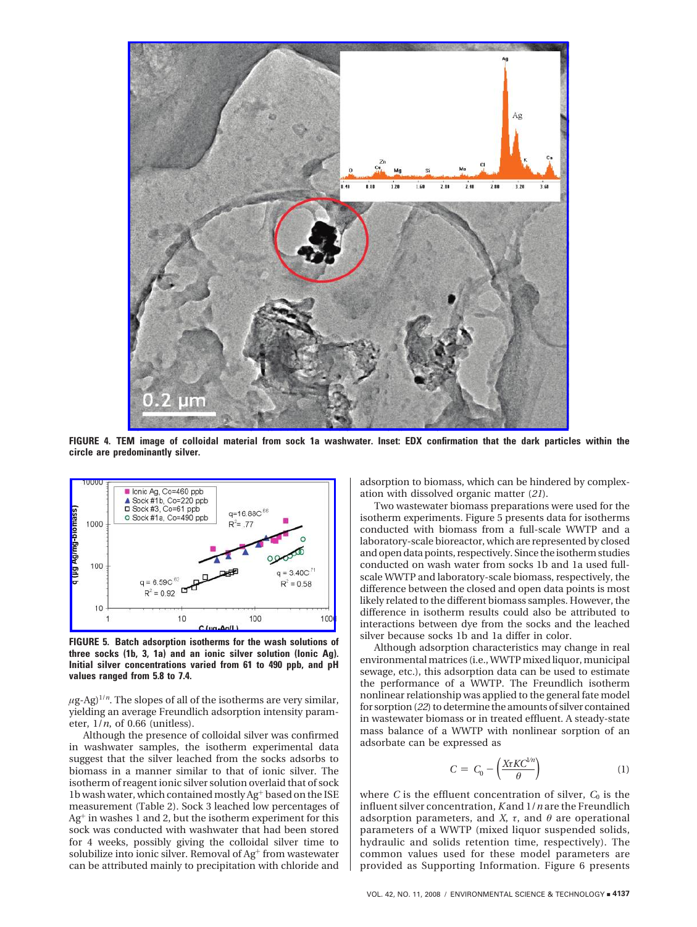

**FIGURE 4. TEM image of colloidal material from sock 1a washwater. Inset: EDX confirmation that the dark particles within the circle are predominantly silver.**



**FIGURE 5. Batch adsorption isotherms for the wash solutions of three socks (1b, 3, 1a) and an ionic silver solution (Ionic Ag). Initial silver concentrations varied from 61 to 490 ppb, and pH values ranged from 5.8 to 7.4.**

 $\mu$ g-Ag)<sup>1/*n*</sup>. The slopes of all of the isotherms are very similar, yielding an average Freundlich adsorption intensity parameter, 1/*n*, of 0.66 (unitless).

Although the presence of colloidal silver was confirmed in washwater samples, the isotherm experimental data suggest that the silver leached from the socks adsorbs to biomass in a manner similar to that of ionic silver. The isotherm of reagent ionic silver solution overlaid that of sock 1b wash water, which contained mostly Ag<sup>+</sup> based on the ISE measurement (Table 2). Sock 3 leached low percentages of Ag<sup>+</sup> in washes 1 and 2, but the isotherm experiment for this sock was conducted with washwater that had been stored for 4 weeks, possibly giving the colloidal silver time to solubilize into ionic silver. Removal of Ag<sup>+</sup> from wastewater can be attributed mainly to precipitation with chloride and

adsorption to biomass, which can be hindered by complexation with dissolved organic matter (*21*).

Two wastewater biomass preparations were used for the isotherm experiments. Figure 5 presents data for isotherms conducted with biomass from a full-scale WWTP and a laboratory-scale bioreactor, which are represented by closed and open data points, respectively. Since the isotherm studies conducted on wash water from socks 1b and 1a used fullscale WWTP and laboratory-scale biomass, respectively, the difference between the closed and open data points is most likely related to the different biomass samples. However, the difference in isotherm results could also be attributed to interactions between dye from the socks and the leached silver because socks 1b and 1a differ in color.

Although adsorption characteristics may change in real environmental matrices (i.e.,WWTP mixed liquor, municipal sewage, etc.), this adsorption data can be used to estimate the performance of a WWTP. The Freundlich isotherm nonlinear relationship was applied to the general fate model for sorption (*22*) to determine the amounts of silver contained in wastewater biomass or in treated effluent. A steady-state mass balance of a WWTP with nonlinear sorption of an adsorbate can be expressed as

$$
C = C_0 - \left(\frac{X \tau K C^{1/n}}{\theta}\right) \tag{1}
$$

where  $C$  is the effluent concentration of silver,  $C_0$  is the influent silver concentration, *K* and 1/*n* are the Freundlich adsorption parameters, and *X*,  $\tau$ , and  $\theta$  are operational parameters of a WWTP (mixed liquor suspended solids, hydraulic and solids retention time, respectively). The common values used for these model parameters are provided as Supporting Information. Figure 6 presents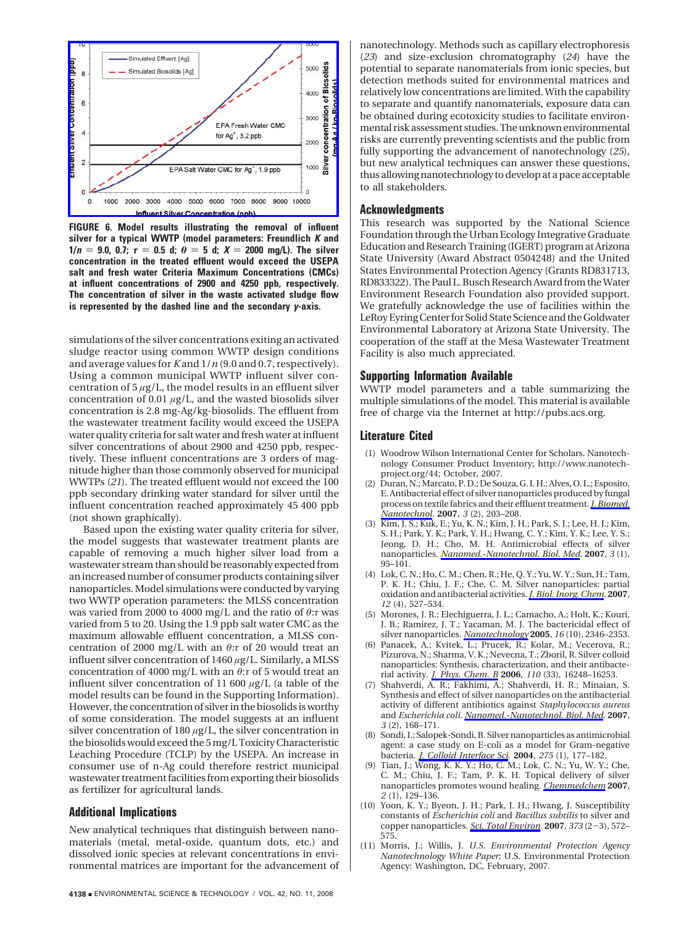

**FIGURE 6. Model results illustrating the removal of influent silver for a typical WWTP (model parameters: Freundlich** *K* **and 1/** $n = 9.0$ , 0.7;  $\tau = 0.5$  d;  $\theta = 5$  d;  $X = 2000$  mg/L). The silver **concentration in the treated effluent would exceed the USEPA salt and fresh water Criteria Maximum Concentrations (CMCs) at influent concentrations of 2900 and 4250 ppb, respectively. The concentration of silver in the waste activated sludge flow is represented by the dashed line and the secondary** *y***-axis.**

simulations of the silver concentrations exiting an activated sludge reactor using common WWTP design conditions and average values for *K* and 1/*n* (9.0 and 0.7, respectively). Using a common municipal WWTP influent silver concentration of  $5 \mu g/L$ , the model results in an effluent silver concentration of 0.01 *µ*g/L, and the wasted biosolids silver concentration is 2.8 mg-Ag/kg-biosolids. The effluent from the wastewater treatment facility would exceed the USEPA water quality criteria for salt water and fresh water at influent silver concentrations of about 2900 and 4250 ppb, respectively. These influent concentrations are 3 orders of magnitude higher than those commonly observed for municipal WWTPs (*21*). The treated effluent would not exceed the 100 ppb secondary drinking water standard for silver until the influent concentration reached approximately 45 400 ppb (not shown graphically).

Based upon the existing water quality criteria for silver, the model suggests that wastewater treatment plants are capable of removing a much higher silver load from a wastewater stream than should be reasonably expected from an increased number of consumer products containing silver nanoparticles.Model simulations were conducted by varying two WWTP operation parameters: the MLSS concentration was varied from 2000 to 4000 mg/L and the ratio of *θ*:*τ* was varied from 5 to 20. Using the 1.9 ppb salt water CMC as the maximum allowable effluent concentration, a MLSS concentration of 2000 mg/L with an *θ*:*τ* of 20 would treat an influent silver concentration of 1460 *µ*g/L. Similarly, a MLSS concentration of 4000 mg/L with an *θ*:*τ* of 5 would treat an influent silver concentration of 11 600 *µ*g/L (a table of the model results can be found in the Supporting Information). However, the concentration of silver in the biosolids is worthy of some consideration. The model suggests at an influent silver concentration of 180  $\mu$ g/L, the silver concentration in the biosolids would exceed the 5mg/L Toxicity Characteristic Leaching Procedure (TCLP) by the USEPA. An increase in consumer use of n-Ag could therefore restrict municipal wastewater treatment facilities from exporting their biosolids as fertilizer for agricultural lands.

### **Additional Implications**

New analytical techniques that distinguish between nanomaterials (metal, metal-oxide, quantum dots, etc.) and dissolved ionic species at relevant concentrations in environmental matrices are important for the advancement of nanotechnology. Methods such as capillary electrophoresis (*23*) and size-exclusion chromatography (*24*) have the potential to separate nanomaterials from ionic species, but detection methods suited for environmental matrices and relatively low concentrations are limited. With the capability to separate and quantify nanomaterials, exposure data can be obtained during ecotoxicity studies to facilitate environmental risk assessment studies. The unknown environmental risks are currently preventing scientists and the public from fully supporting the advancement of nanotechnology (*25*), but new analytical techniques can answer these questions, thus allowing nanotechnology to develop at a pace acceptable to all stakeholders.

# **Acknowledgments**

This research was supported by the National Science Foundation through the Urban Ecology Integrative Graduate Education and Research Training (IGERT) program at Arizona State University (Award Abstract 0504248) and the United States Environmental Protection Agency (Grants RD831713, RD833322). The Paul L. Busch Research Award from theWater Environment Research Foundation also provided support. We gratefully acknowledge the use of facilities within the LeRoy Eyring Center for Solid State Science and the Goldwater Environmental Laboratory at Arizona State University. The cooperation of the staff at the Mesa Wastewater Treatment Facility is also much appreciated.

## **Supporting Information Available**

WWTP model parameters and a table summarizing the multiple simulations of the model. This material is available free of charge via the Internet at http://pubs.acs.org.

## **Literature Cited**

- (1) Woodrow Wilson International Center for Scholars. Nanotechnology Consumer Product Inventory; http://www.nanotechproject.org/44; October, 2007.
- (2) Duran, N.;Marcato, P. D.; De Souza, G. I. H.; Alves, O. L.; Esposito, E. Antibacterial effect of silver nanoparticles produced by fungal process on textile fabrics and their effluent treatment.*J. Biomed. Nanotechnol.* **2007**, *3* (2), 203–208.
- (3) Kim, J. S.; Kuk, E.; Yu, K. N.; Kim, J. H.; Park, S. J.; Lee, H. J.; Kim, S. H.; Park, Y. K.; Park, Y. H.; Hwang, C. Y.; Kim, Y. K.; Lee, Y. S.; Jeong, D. H.; Cho, M. H. Antimicrobial effects of silver nanoparticles. *Nanomed.-Nanotechnol. Biol. Med.* **2007**, *3* (1), 95–101.
- (4) Lok, C. N.; Ho, C. M.; Chen, R.; He, Q. Y.; Yu, W. Y.; Sun, H.; Tam, P. K. H.; Chiu, J. F.; Che, C. M. Silver nanoparticles: partial oxidation and antibacterial activities.*J. Biol. Inorg. Chem.* **2007**, *12* (4), 527–534.
- (5) Morones, J. R.; Elechiguerra, J. L.; Camacho, A.; Holt, K.; Kouri, J. B.; Ramirez, J. T.; Yacaman, M. J. The bactericidal effect of silver nanoparticles. *Nanotechnology* **2005**, *16* (10), 2346–2353.
- (6) Panacek, A.; Kvitek, L.; Prucek, R.; Kolar, M.; Vecerova, R.; Pizurova, N.; Sharma, V. K.; Nevecna, T.; Zboril, R. Silver colloid nanoparticles: Synthesis, characterization, and their antibacterial activity. *J. Phys. Chem. B* **2006**, *110* (33), 16248–16253.
- (7) Shahverdi, A. R.; Fakhimi, A.; Shahverdi, H. R.; Minaian, S. Synthesis and effect of silver nanoparticles on the antibacterial activity of different antibiotics against *Staphylococcus aureus* and *Escherichia coli*. *Nanomed.-Nanotechnol. Biol. Med.* **2007**, *3* (2), 168–171.
- (8) Sondi, I.; Salopek-Sondi, B. Silver nanoparticles as antimicrobial agent: a case study on E-coli as a model for Gram-negative bacteria. *J. Colloid Interface Sci.* **2004**, *275* (1), 177–182.
- (9) Tian, J.; Wong, K. K. Y.; Ho, C. M.; Lok, C. N.; Yu, W. Y.; Che, C. M.; Chiu, J. F.; Tam, P. K. H. Topical delivery of silver nanoparticles promotes wound healing. *Chemmedchem* **2007**, *2* (1), 129–136.
- (10) Yoon, K. Y.; Byeon, J. H.; Park, J. H.; Hwang, J. Susceptibility constants of *Escherichia coli* and *Bacillus subtilis* to silver and copper nanoparticles. *Sci. Total Environ.* **<sup>2007</sup>**, *<sup>373</sup>* (2-3), 572– 575.
- (11) Morris, J.; Willis, J. *U.S. Environmental Protection Agency Nanotechnology White Paper*; U.S. Environmental Protection Agency: Washington, DC, February, 2007.